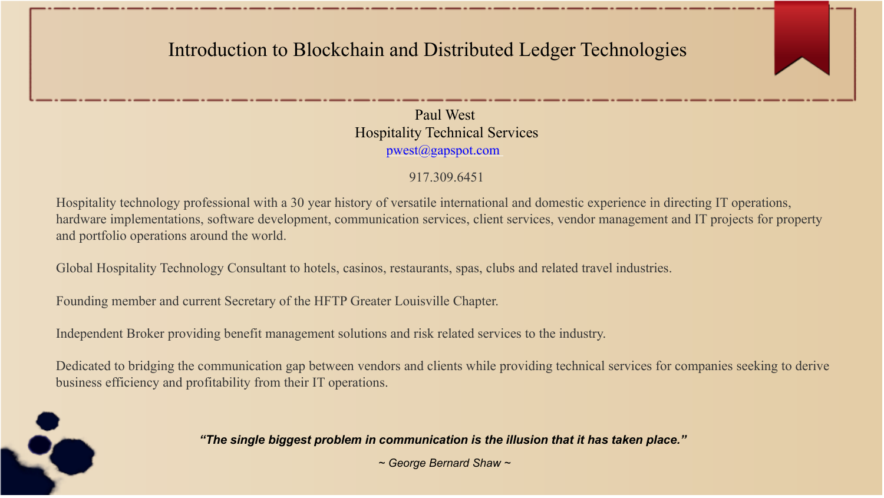### Introduction to Blockchain and Distributed Ledger Technologies



Paul West Hospitality Technical Services pwest@gapspot.com

### 917.309.6451

Hospitality technology professional with a 30 year history of versatile international and domestic experience in directing IT operations, hardware implementations, software development, communication services, client services, vendor management and IT projects for property and portfolio operations around the world.

Global Hospitality Technology Consultant to hotels, casinos, restaurants, spas, clubs and related travel industries.

Founding member and current Secretary of the HFTP Greater Louisville Chapter.

Independent Broker providing benefit management solutions and risk related services to the industry.

Dedicated to bridging the communication gap between vendors and clients while providing technical services for companies seeking to derive business efficiency and profitability from their IT operations.

#### *"The single biggest problem in communication is the illusion that it has taken place."*

*~ George Bernard Shaw ~*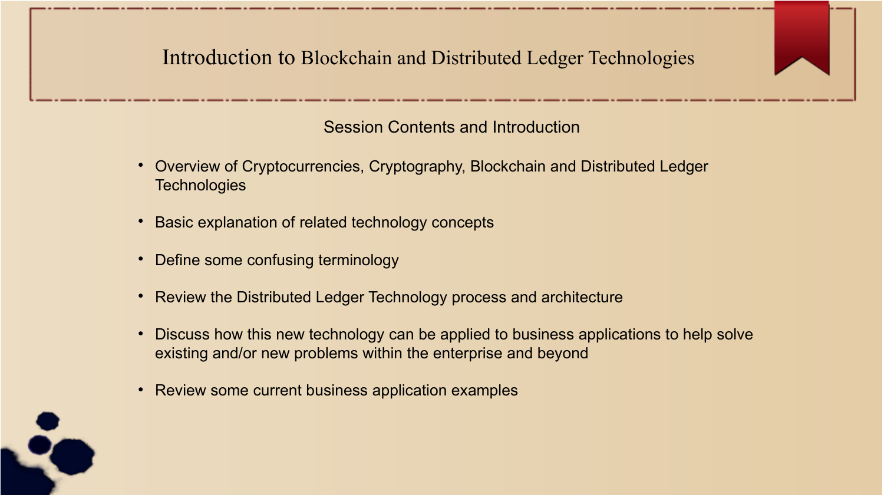### Introduction to Blockchain and Distributed Ledger Technologies

### Session Contents and Introduction

- Overview of Cryptocurrencies, Cryptography, Blockchain and Distributed Ledger **Technologies**
- Basic explanation of related technology concepts
- Define some confusing terminology
- Review the Distributed Ledger Technology process and architecture
- Discuss how this new technology can be applied to business applications to help solve existing and/or new problems within the enterprise and beyond
- Review some current business application examples

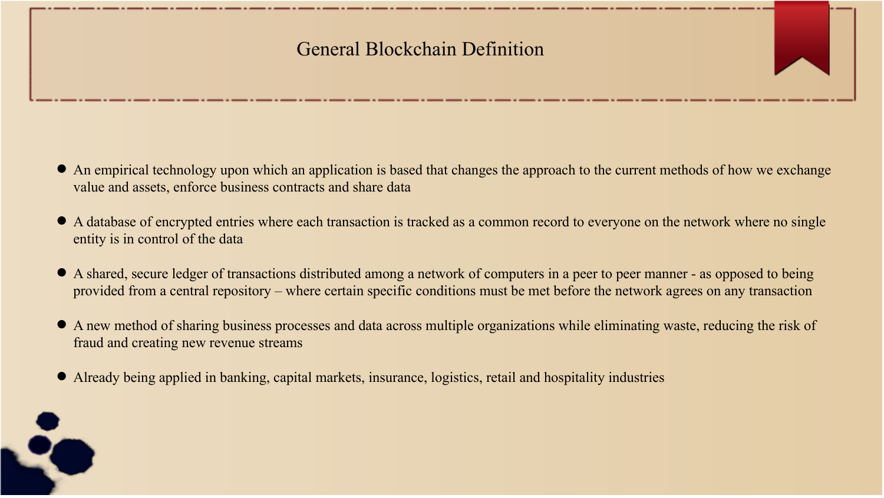### General Blockchain Definition

- An empirical technology upon which an application is based that changes the approach to the current methods of how we exchange value and assets, enforce business contracts and share data
- A database of encrypted entries where each transaction is tracked as a common record to everyone on the network where no single entity is in control of the data
- A shared, secure ledger of transactions distributed among a network of computers in a peer to peer manner as opposed to being provided from a central repository – where certain specific conditions must be met before the network agrees on any transaction
- A new method of sharing business processes and data across multiple organizations while eliminating waste, reducing the risk of fraud and creating new revenue streams
- Already being applied in banking, capital markets, insurance, logistics, retail and hospitality industries

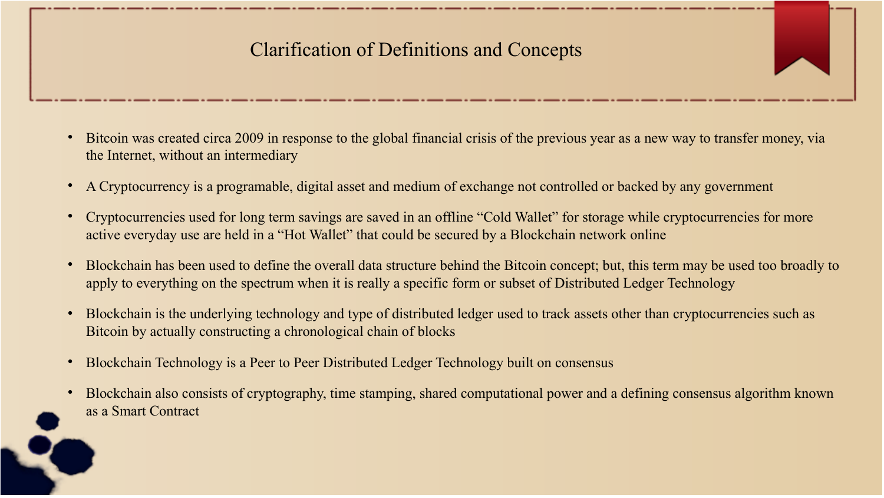## Clarification of Definitions and Concepts

- Bitcoin was created circa 2009 in response to the global financial crisis of the previous year as a new way to transfer money, via the Internet, without an intermediary
- A Cryptocurrency is a programable, digital asset and medium of exchange not controlled or backed by any government
- Cryptocurrencies used for long term savings are saved in an offline "Cold Wallet" for storage while cryptocurrencies for more active everyday use are held in a "Hot Wallet" that could be secured by a Blockchain network online
- Blockchain has been used to define the overall data structure behind the Bitcoin concept; but, this term may be used too broadly to apply to everything on the spectrum when it is really a specific form or subset of Distributed Ledger Technology
- Blockchain is the underlying technology and type of distributed ledger used to track assets other than cryptocurrencies such as Bitcoin by actually constructing a chronological chain of blocks
- Blockchain Technology is a Peer to Peer Distributed Ledger Technology built on consensus
- Blockchain also consists of cryptography, time stamping, shared computational power and a defining consensus algorithm known as a Smart Contract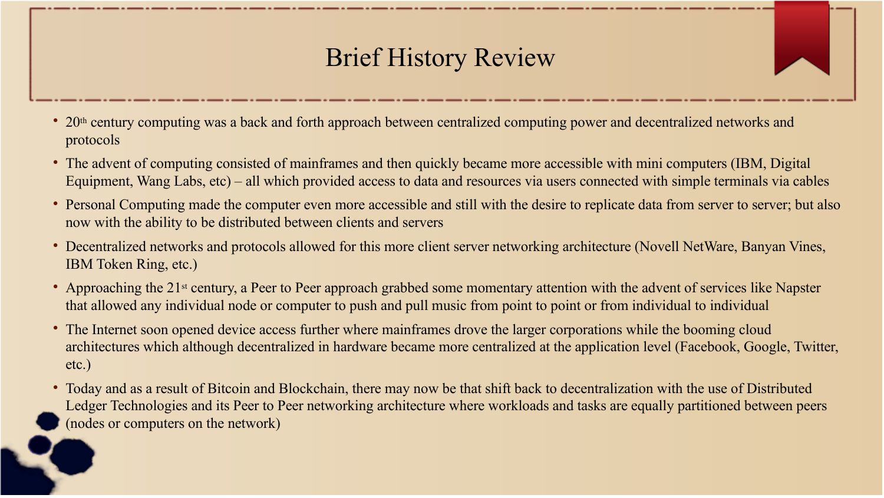# Brief History Review

- 20<sup>th</sup> century computing was a back and forth approach between centralized computing power and decentralized networks and protocols
- The advent of computing consisted of mainframes and then quickly became more accessible with mini computers (IBM, Digital Equipment, Wang Labs, etc) – all which provided access to data and resources via users connected with simple terminals via cables
- Personal Computing made the computer even more accessible and still with the desire to replicate data from server to server; but also now with the ability to be distributed between clients and servers
- Decentralized networks and protocols allowed for this more client server networking architecture (Novell NetWare, Banyan Vines, IBM Token Ring, etc.)
- Approaching the 21<sup>st</sup> century, a Peer to Peer approach grabbed some momentary attention with the advent of services like Napster that allowed any individual node or computer to push and pull music from point to point or from individual to individual
- The Internet soon opened device access further where mainframes drove the larger corporations while the booming cloud architectures which although decentralized in hardware became more centralized at the application level (Facebook, Google, Twitter, etc.)
- Today and as a result of Bitcoin and Blockchain, there may now be that shift back to decentralization with the use of Distributed Ledger Technologies and its Peer to Peer networking architecture where workloads and tasks are equally partitioned between peers (nodes or computers on the network)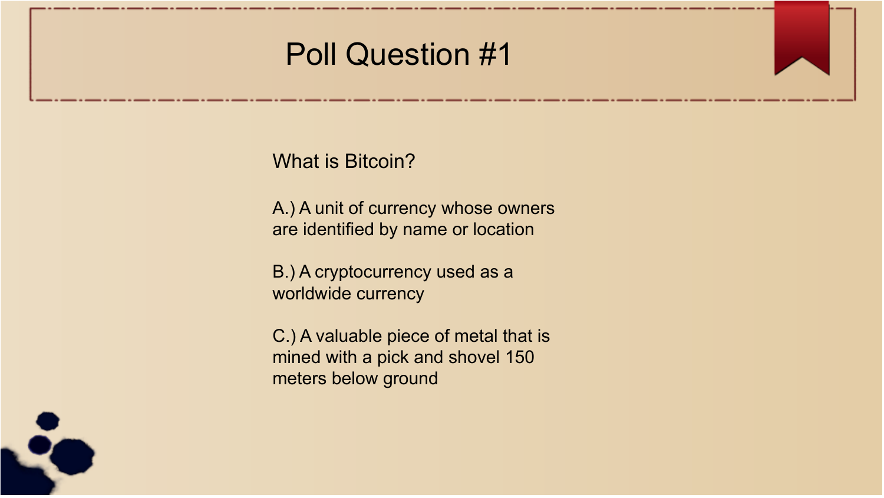# Poll Question #1

What is Bitcoin?

A.) A unit of currency whose owners are identified by name or location

B.) A cryptocurrency used as a worldwide currency

C.) A valuable piece of metal that is mined with a pick and shovel 150 meters below ground

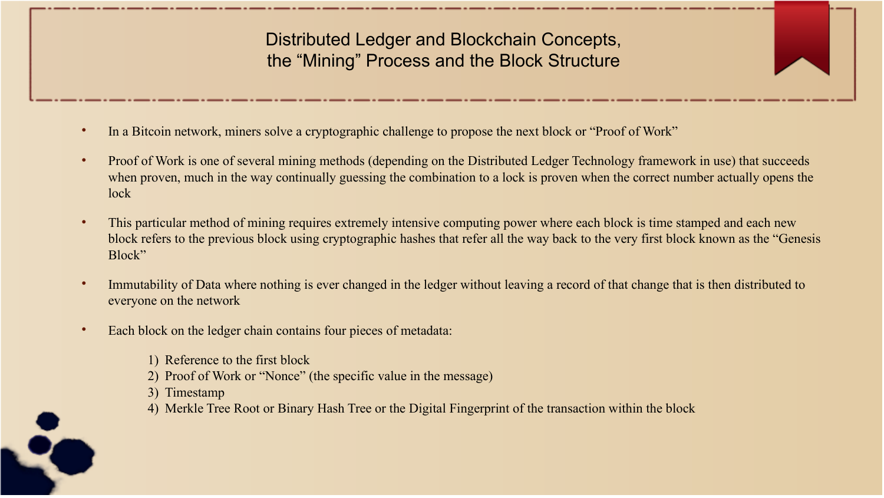Distributed Ledger and Blockchain Concepts, the "Mining" Process and the Block Structure

- In a Bitcoin network, miners solve a cryptographic challenge to propose the next block or "Proof of Work"
- Proof of Work is one of several mining methods (depending on the Distributed Ledger Technology framework in use) that succeeds when proven, much in the way continually guessing the combination to a lock is proven when the correct number actually opens the lock
- This particular method of mining requires extremely intensive computing power where each block is time stamped and each new block refers to the previous block using cryptographic hashes that refer all the way back to the very first block known as the "Genesis Block"
- $\bullet$ Immutability of Data where nothing is ever changed in the ledger without leaving a record of that change that is then distributed to everyone on the network
- Each block on the ledger chain contains four pieces of metadata:
	- 1) Reference to the first block
	- 2) Proof of Work or "Nonce" (the specific value in the message)
	- 3) Timestamp
	- 4) Merkle Tree Root or Binary Hash Tree or the Digital Fingerprint of the transaction within the block

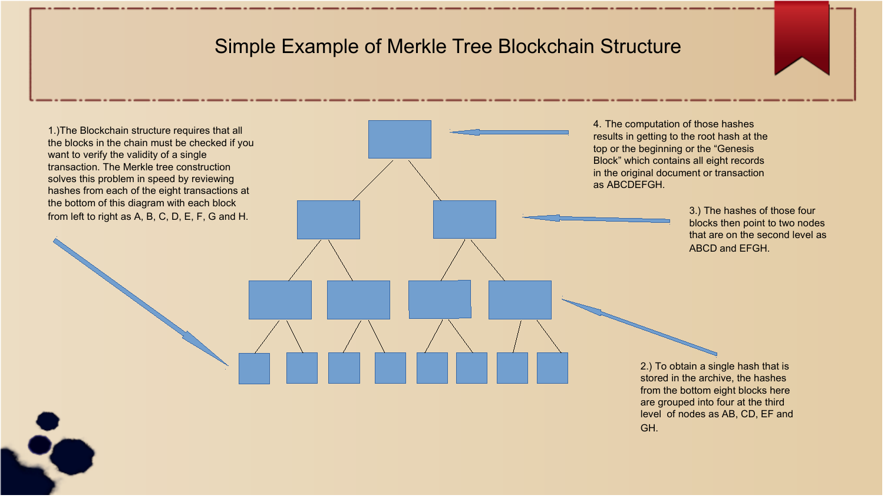### Simple Example of Merkle Tree Blockchain Structure

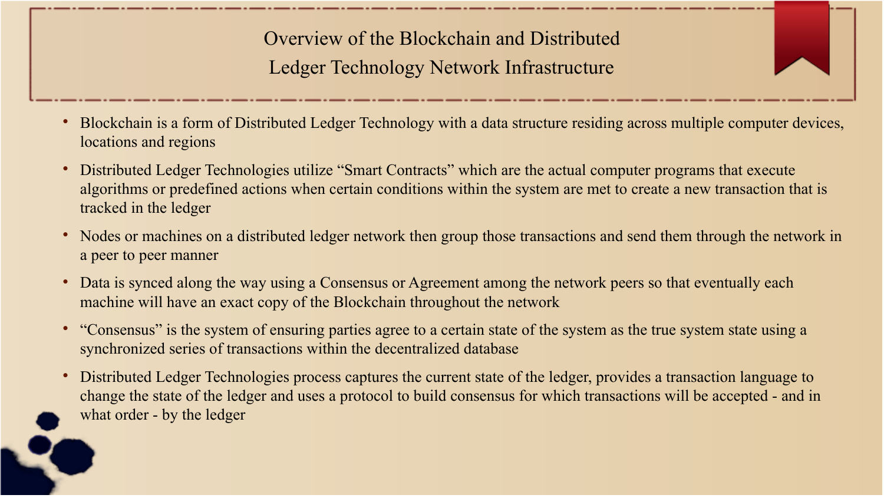Overview of the Blockchain and Distributed Ledger Technology Network Infrastructure

- Blockchain is a form of Distributed Ledger Technology with a data structure residing across multiple computer devices, locations and regions
- Distributed Ledger Technologies utilize "Smart Contracts" which are the actual computer programs that execute algorithms or predefined actions when certain conditions within the system are met to create a new transaction that is tracked in the ledger
- Nodes or machines on a distributed ledger network then group those transactions and send them through the network in a peer to peer manner
- Data is synced along the way using a Consensus or Agreement among the network peers so that eventually each machine will have an exact copy of the Blockchain throughout the network
- "Consensus" is the system of ensuring parties agree to a certain state of the system as the true system state using a synchronized series of transactions within the decentralized database
- Distributed Ledger Technologies process captures the current state of the ledger, provides a transaction language to change the state of the ledger and uses a protocol to build consensus for which transactions will be accepted - and in what order - by the ledger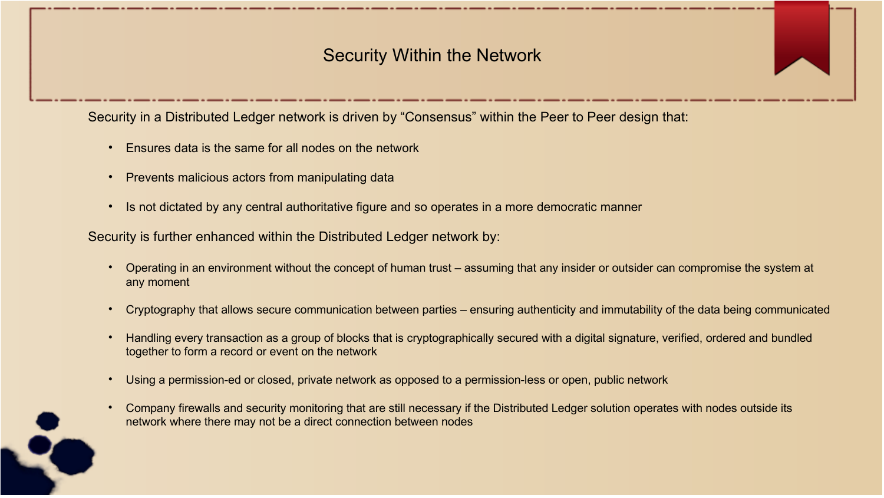### Security Within the Network

Security in a Distributed Ledger network is driven by "Consensus" within the Peer to Peer design that:

- Ensures data is the same for all nodes on the network
- Prevents malicious actors from manipulating data
- Is not dictated by any central authoritative figure and so operates in a more democratic manner

Security is further enhanced within the Distributed Ledger network by:

- Operating in an environment without the concept of human trust assuming that any insider or outsider can compromise the system at any moment
- Cryptography that allows secure communication between parties ensuring authenticity and immutability of the data being communicated
- Handling every transaction as a group of blocks that is cryptographically secured with a digital signature, verified, ordered and bundled together to form a record or event on the network
- Using a permission-ed or closed, private network as opposed to a permission-less or open, public network
- Company firewalls and security monitoring that are still necessary if the Distributed Ledger solution operates with nodes outside its network where there may not be a direct connection between nodes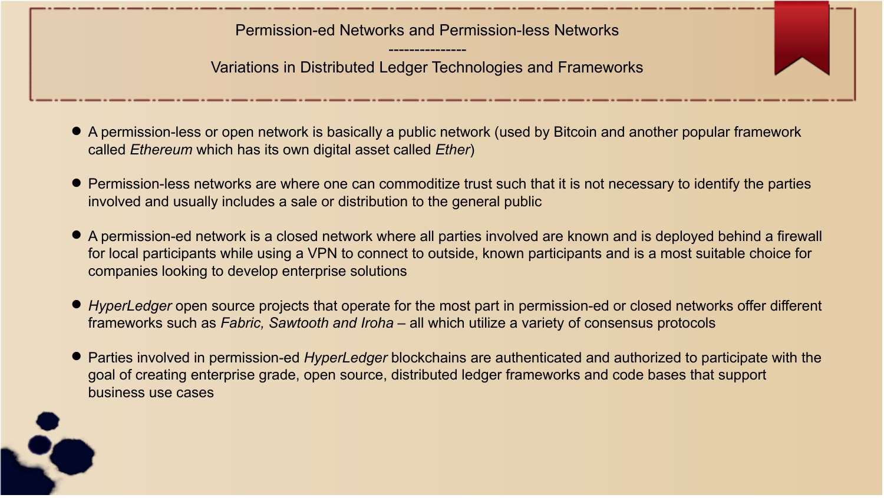Permission-ed Networks and Permission-less Networks

--------------- Variations in Distributed Ledger Technologies and Frameworks

- A permission-less or open network is basically a public network (used by Bitcoin and another popular framework called *Ethereum* which has its own digital asset called *Ether*)
- Permission-less networks are where one can commoditize trust such that it is not necessary to identify the parties involved and usually includes a sale or distribution to the general public
- A permission-ed network is a closed network where all parties involved are known and is deployed behind a firewall for local participants while using a VPN to connect to outside, known participants and is a most suitable choice for companies looking to develop enterprise solutions
- *HyperLedger* open source projects that operate for the most part in permission-ed or closed networks offer different frameworks such as *Fabric, Sawtooth and Iroha* – all which utilize a variety of consensus protocols
- Parties involved in permission-ed *HyperLedger* blockchains are authenticated and authorized to participate with the goal of creating enterprise grade, open source, distributed ledger frameworks and code bases that support business use cases

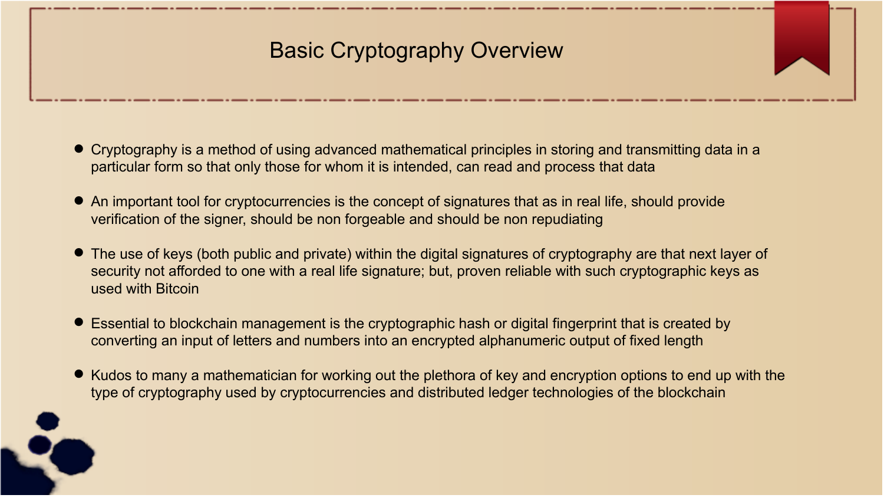# Basic Cryptography Overview

- Cryptography is a method of using advanced mathematical principles in storing and transmitting data in a particular form so that only those for whom it is intended, can read and process that data
- An important tool for cryptocurrencies is the concept of signatures that as in real life, should provide verification of the signer, should be non forgeable and should be non repudiating
- The use of keys (both public and private) within the digital signatures of cryptography are that next layer of security not afforded to one with a real life signature; but, proven reliable with such cryptographic keys as used with Bitcoin
- Essential to blockchain management is the cryptographic hash or digital fingerprint that is created by converting an input of letters and numbers into an encrypted alphanumeric output of fixed length
- Kudos to many a mathematician for working out the plethora of key and encryption options to end up with the type of cryptography used by cryptocurrencies and distributed ledger technologies of the blockchain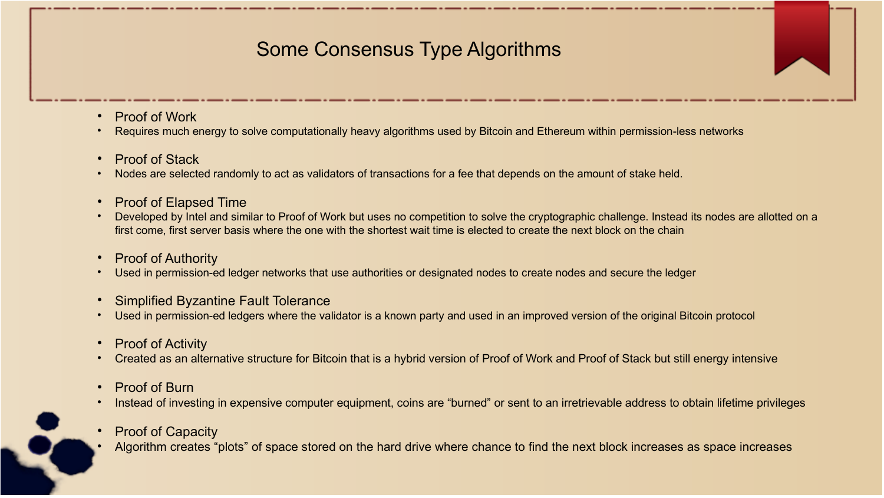## Some Consensus Type Algorithms

- Proof of Work
- Requires much energy to solve computationally heavy algorithms used by Bitcoin and Ethereum within permission-less networks
- Proof of Stack
- Nodes are selected randomly to act as validators of transactions for a fee that depends on the amount of stake held.
- Proof of Elapsed Time
- Developed by Intel and similar to Proof of Work but uses no competition to solve the cryptographic challenge. Instead its nodes are allotted on a first come, first server basis where the one with the shortest wait time is elected to create the next block on the chain
- Proof of Authority
- Used in permission-ed ledger networks that use authorities or designated nodes to create nodes and secure the ledger
- Simplified Byzantine Fault Tolerance
- Used in permission-ed ledgers where the validator is a known party and used in an improved version of the original Bitcoin protocol
- Proof of Activity
- Created as an alternative structure for Bitcoin that is a hybrid version of Proof of Work and Proof of Stack but still energy intensive
- Proof of Burn
- $\bullet$ Instead of investing in expensive computer equipment, coins are "burned" or sent to an irretrievable address to obtain lifetime privileges
- Proof of Capacity
- Algorithm creates "plots" of space stored on the hard drive where chance to find the next block increases as space increases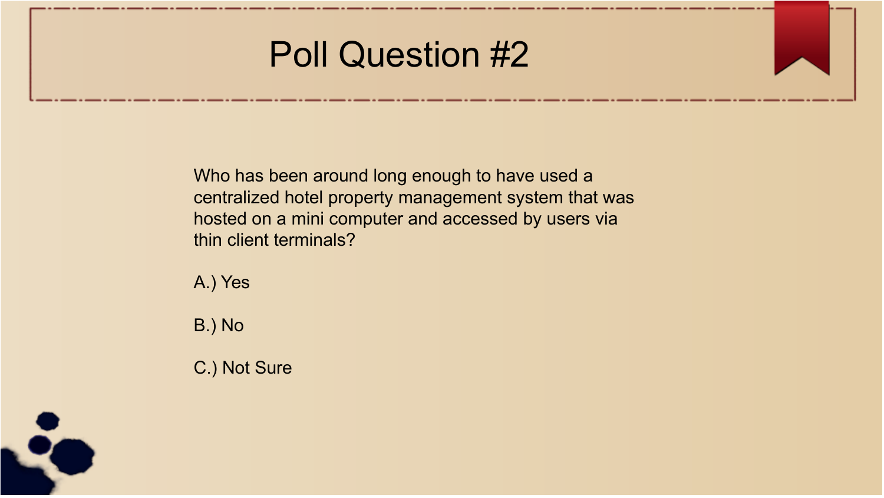# Poll Question #2

Who has been around long enough to have used a centralized hotel property management system that was hosted on a mini computer and accessed by users via thin client terminals?

A.) Yes

B.) No

C.) Not Sure

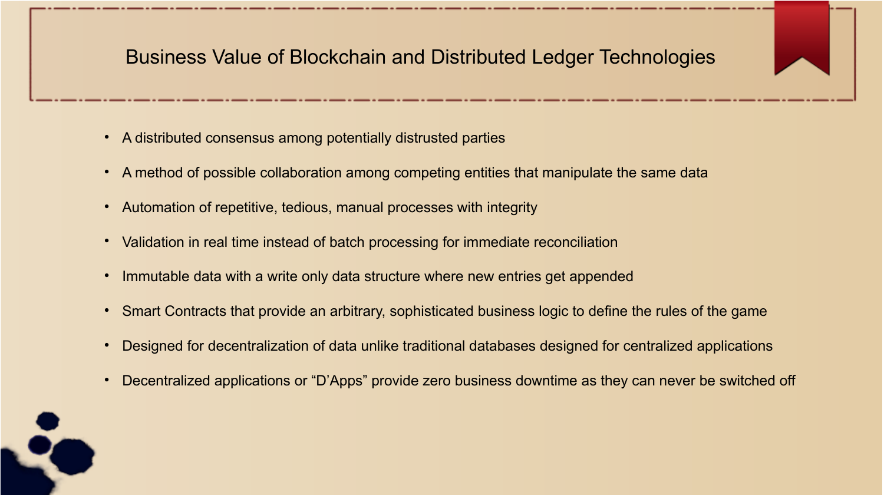### Business Value of Blockchain and Distributed Ledger Technologies

- A distributed consensus among potentially distrusted parties
- A method of possible collaboration among competing entities that manipulate the same data
- Automation of repetitive, tedious, manual processes with integrity
- Validation in real time instead of batch processing for immediate reconciliation
- Immutable data with a write only data structure where new entries get appended
- Smart Contracts that provide an arbitrary, sophisticated business logic to define the rules of the game
- Designed for decentralization of data unlike traditional databases designed for centralized applications
- Decentralized applications or "D'Apps" provide zero business downtime as they can never be switched off

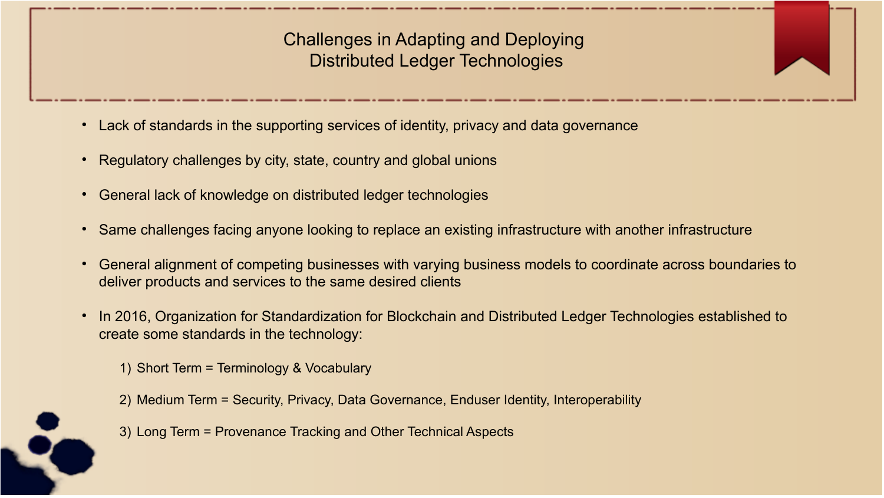Challenges in Adapting and Deploying Distributed Ledger Technologies

- Lack of standards in the supporting services of identity, privacy and data governance
- Regulatory challenges by city, state, country and global unions
- General lack of knowledge on distributed ledger technologies
- Same challenges facing anyone looking to replace an existing infrastructure with another infrastructure
- General alignment of competing businesses with varying business models to coordinate across boundaries to deliver products and services to the same desired clients
- In 2016, Organization for Standardization for Blockchain and Distributed Ledger Technologies established to create some standards in the technology:

1) Short Term = Terminology & Vocabulary

- 2) Medium Term = Security, Privacy, Data Governance, Enduser Identity, Interoperability
- 3) Long Term = Provenance Tracking and Other Technical Aspects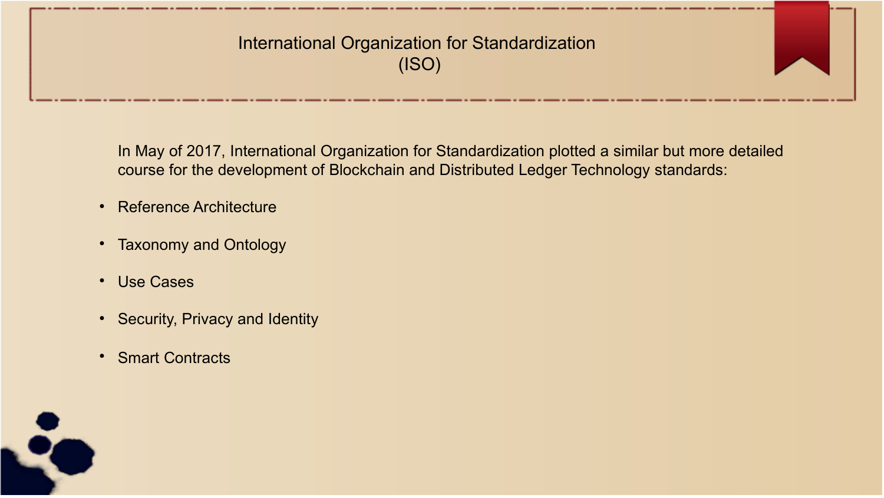### International Organization for Standardization (ISO)

In May of 2017, International Organization for Standardization plotted a similar but more detailed course for the development of Blockchain and Distributed Ledger Technology standards:

- Reference Architecture
- Taxonomy and Ontology
- Use Cases
- Security, Privacy and Identity
- Smart Contracts

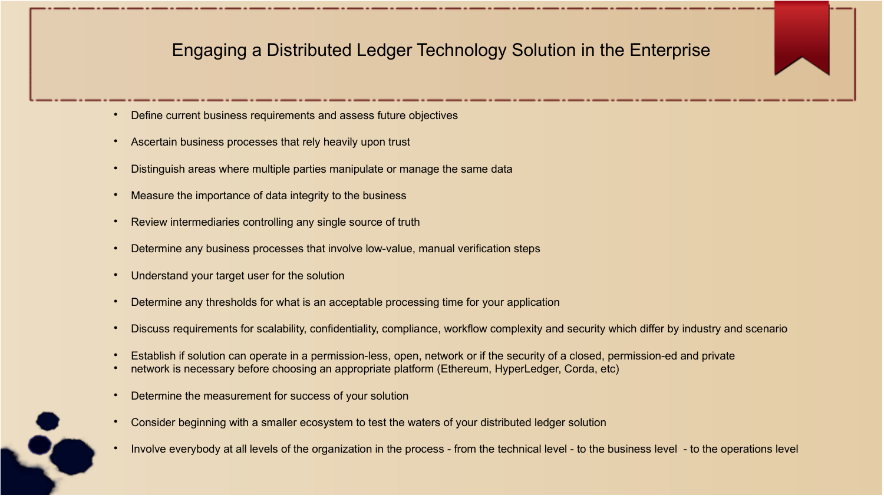### Engaging a Distributed Ledger Technology Solution in the Enterprise

- Define current business requirements and assess future objectives
- Ascertain business processes that rely heavily upon trust
- Distinguish areas where multiple parties manipulate or manage the same data
- Measure the importance of data integrity to the business
- Review intermediaries controlling any single source of truth
- Determine any business processes that involve low-value, manual verification steps
- Understand your target user for the solution
- Determine any thresholds for what is an acceptable processing time for your application
- Discuss requirements for scalability, confidentiality, compliance, workflow complexity and security which differ by industry and scenario
- Establish if solution can operate in a permission-less, open, network or if the security of a closed, permission-ed and private
- network is necessary before choosing an appropriate platform (Ethereum, HyperLedger, Corda, etc)
- Determine the measurement for success of your solution
- Consider beginning with a smaller ecosystem to test the waters of your distributed ledger solution
- Involve everybody at all levels of the organization in the process from the technical level to the business level to the operations level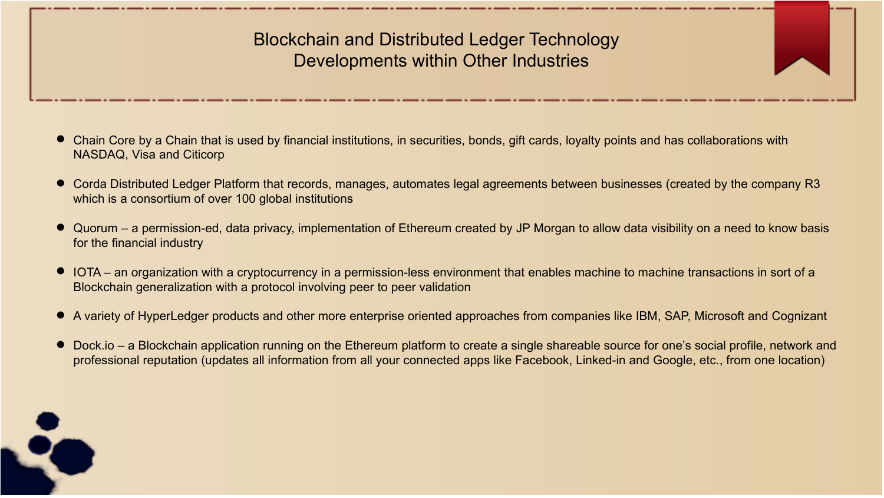### Blockchain and Distributed Ledger Technology Developments within Other Industries

- Chain Core by a Chain that is used by financial institutions, in securities, bonds, gift cards, loyalty points and has collaborations with NASDAQ, Visa and Citicorp
- Corda Distributed Ledger Platform that records, manages, automates legal agreements between businesses (created by the company R3 which is a consortium of over 100 global institutions
- Quorum a permission-ed, data privacy, implementation of Ethereum created by JP Morgan to allow data visibility on a need to know basis for the financial industry
- IOTA an organization with a cryptocurrency in a permission-less environment that enables machine to machine transactions in sort of a Blockchain generalization with a protocol involving peer to peer validation
- A variety of HyperLedger products and other more enterprise oriented approaches from companies like IBM, SAP, Microsoft and Cognizant
- Dock.io a Blockchain application running on the Ethereum platform to create a single shareable source for one's social profile, network and professional reputation (updates all information from all your connected apps like Facebook, Linked-in and Google, etc., from one location)

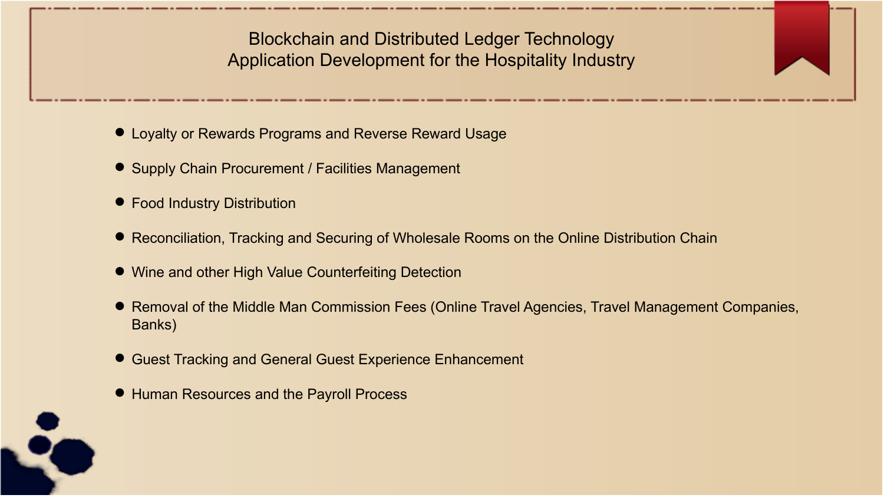Blockchain and Distributed Ledger Technology Application Development for the Hospitality Industry

- Loyalty or Rewards Programs and Reverse Reward Usage
- Supply Chain Procurement / Facilities Management
- Food Industry Distribution
- Reconciliation, Tracking and Securing of Wholesale Rooms on the Online Distribution Chain
- Wine and other High Value Counterfeiting Detection
- Removal of the Middle Man Commission Fees (Online Travel Agencies, Travel Management Companies, Banks)
- Guest Tracking and General Guest Experience Enhancement
- Human Resources and the Payroll Process

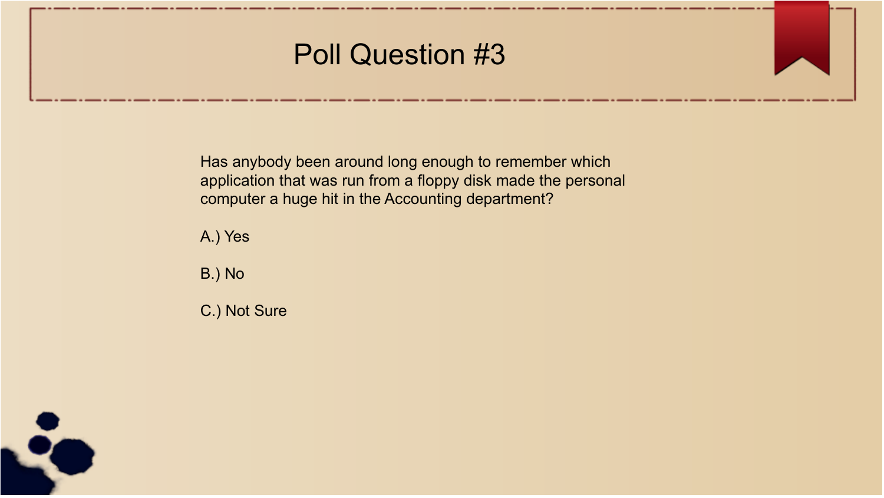# Poll Question #3

Has anybody been around long enough to remember which application that was run from a floppy disk made the personal computer a huge hit in the Accounting department?

A.) Yes

B.) No

C.) Not Sure

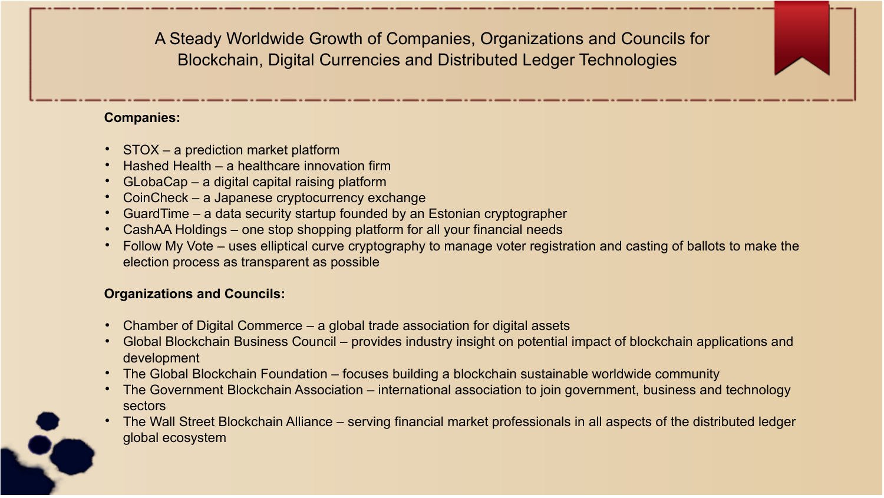A Steady Worldwide Growth of Companies, Organizations and Councils for Blockchain, Digital Currencies and Distributed Ledger Technologies

#### **Companies:**

- STOX a prediction market platform
- Hashed Health a healthcare innovation firm
- GLobaCap a digital capital raising platform
- CoinCheck a Japanese cryptocurrency exchange
- GuardTime a data security startup founded by an Estonian cryptographer
- CashAA Holdings one stop shopping platform for all your financial needs
- Follow My Vote uses elliptical curve cryptography to manage voter registration and casting of ballots to make the election process as transparent as possible

### **Organizations and Councils:**

- Chamber of Digital Commerce a global trade association for digital assets
- Global Blockchain Business Council provides industry insight on potential impact of blockchain applications and development
- The Global Blockchain Foundation focuses building a blockchain sustainable worldwide community
- The Government Blockchain Association international association to join government, business and technology sectors
- The Wall Street Blockchain Alliance serving financial market professionals in all aspects of the distributed ledger global ecosystem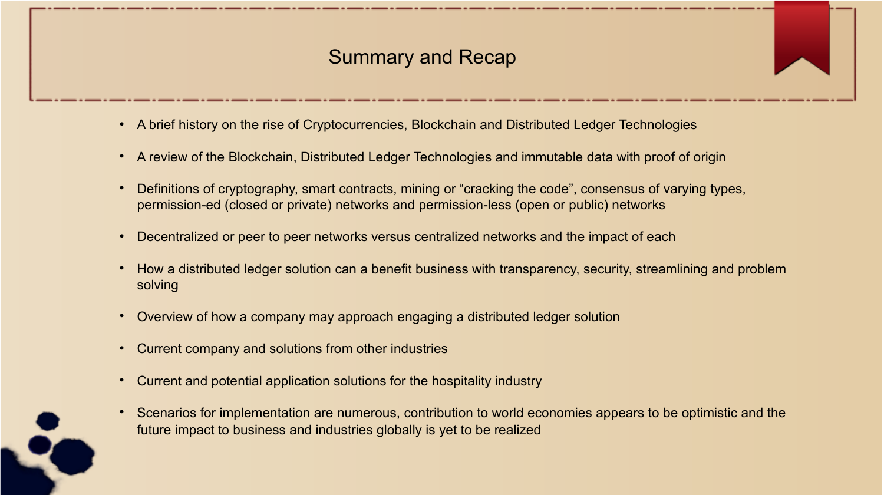### Summary and Recap

- A brief history on the rise of Cryptocurrencies, Blockchain and Distributed Ledger Technologies
- A review of the Blockchain, Distributed Ledger Technologies and immutable data with proof of origin
- Definitions of cryptography, smart contracts, mining or "cracking the code", consensus of varying types, permission-ed (closed or private) networks and permission-less (open or public) networks
- Decentralized or peer to peer networks versus centralized networks and the impact of each
- How a distributed ledger solution can a benefit business with transparency, security, streamlining and problem solving
- Overview of how a company may approach engaging a distributed ledger solution
- Current company and solutions from other industries
- Current and potential application solutions for the hospitality industry
- Scenarios for implementation are numerous, contribution to world economies appears to be optimistic and the future impact to business and industries globally is yet to be realized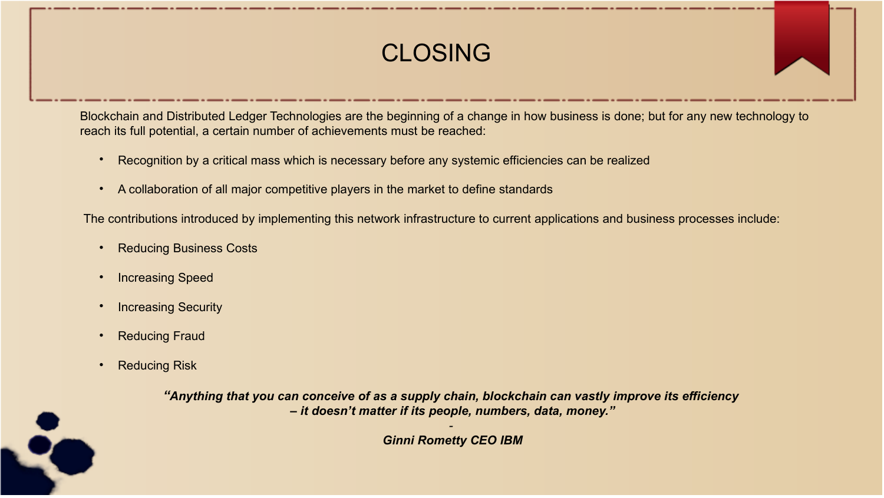# CLOSING

Blockchain and Distributed Ledger Technologies are the beginning of a change in how business is done; but for any new technology to reach its full potential, a certain number of achievements must be reached:

- Recognition by a critical mass which is necessary before any systemic efficiencies can be realized
- A collaboration of all major competitive players in the market to define standards

The contributions introduced by implementing this network infrastructure to current applications and business processes include:

- Reducing Business Costs
- Increasing Speed
- Increasing Security
- Reducing Fraud
- Reducing Risk

*"Anything that you can conceive of as a supply chain, blockchain can vastly improve its efficiency – it doesn't matter if its people, numbers, data, money."*

> *- Ginni Rometty CEO IBM*